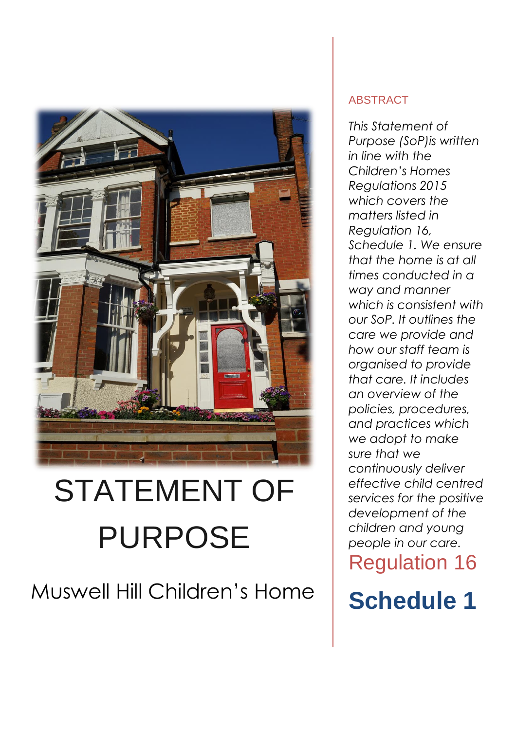

# STATEMENT OF PURPOSE

# Muswell Hill Children's Home

### ABSTRACT

*This Statement of Purpose (SoP)is written in line with the Children's Homes Regulations 2015 which covers the matters listed in Regulation 16, Schedule 1. We ensure that the home is at all times conducted in a way and manner which is consistent with our SoP. It outlines the care we provide and how our staff team is organised to provide that care. It includes an overview of the policies, procedures, and practices which we adopt to make sure that we continuously deliver effective child centred services for the positive development of the children and young people in our care.* Regulation 16

**Schedule 1**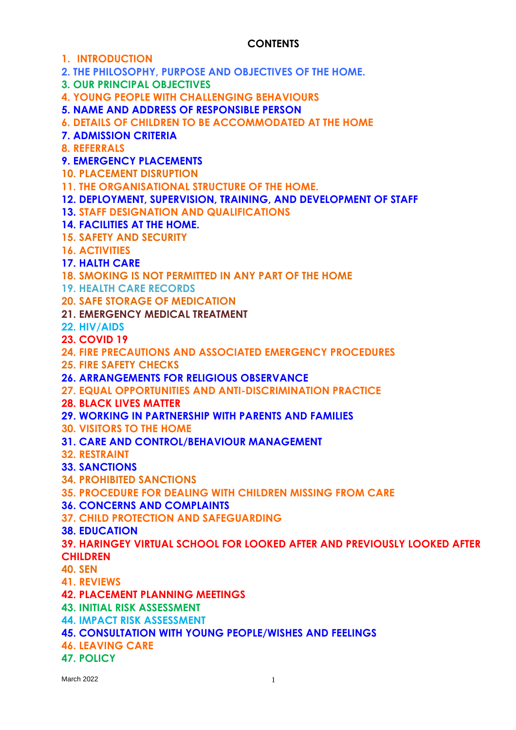#### **CONTENTS**

**1. INTRODUCTION**

**2. THE PHILOSOPHY, PURPOSE AND OBJECTIVES OF THE HOME.**

**3. OUR PRINCIPAL OBJECTIVES**

**4. YOUNG PEOPLE WITH CHALLENGING BEHAVIOURS**

**5. NAME AND ADDRESS OF RESPONSIBLE PERSON**

**6. DETAILS OF CHILDREN TO BE ACCOMMODATED AT THE HOME**

**7. ADMISSION CRITERIA**

**8. REFERRALS**

**9. EMERGENCY PLACEMENTS** 

**10. PLACEMENT DISRUPTION**

**11. THE ORGANISATIONAL STRUCTURE OF THE HOME.**

**12. DEPLOYMENT, SUPERVISION, TRAINING, AND DEVELOPMENT OF STAFF**

**13. STAFF DESIGNATION AND QUALIFICATIONS**

**14. FACILITIES AT THE HOME.**

**15. SAFETY AND SECURITY**

**16. ACTIVITIES**

**17. HALTH CARE** 

**18. SMOKING IS NOT PERMITTED IN ANY PART OF THE HOME**

**19. HEALTH CARE RECORDS**

**20. SAFE STORAGE OF MEDICATION**

**21. EMERGENCY MEDICAL TREATMENT**

**22. HIV/AIDS** 

**23. COVID 19**

**24. FIRE PRECAUTIONS AND ASSOCIATED EMERGENCY PROCEDURES**

**25. FIRE SAFETY CHECKS**

**26. ARRANGEMENTS FOR RELIGIOUS OBSERVANCE**

**27. EQUAL OPPORTUNITIES AND ANTI-DISCRIMINATION PRACTICE**

**28. BLACK LIVES MATTER**

**29. WORKING IN PARTNERSHIP WITH PARENTS AND FAMILIES**

**30. VISITORS TO THE HOME**

**31. CARE AND CONTROL/BEHAVIOUR MANAGEMENT**

**32. RESTRAINT**

**33. SANCTIONS**

**34. PROHIBITED SANCTIONS**

**35. PROCEDURE FOR DEALING WITH CHILDREN MISSING FROM CARE**

**36. CONCERNS AND COMPLAINTS** 

**37. CHILD PROTECTION AND SAFEGUARDING**

**38. EDUCATION**

**39. HARINGEY VIRTUAL SCHOOL FOR LOOKED AFTER AND PREVIOUSLY LOOKED AFTER CHILDREN**

**40. SEN**

**41. REVIEWS**

**42. PLACEMENT PLANNING MEETINGS**

**43. INITIAL RISK ASSESSMENT**

**44. IMPACT RISK ASSESSMENT**

**45. CONSULTATION WITH YOUNG PEOPLE/WISHES AND FEELINGS**

**46. LEAVING CARE**

**47. POLICY**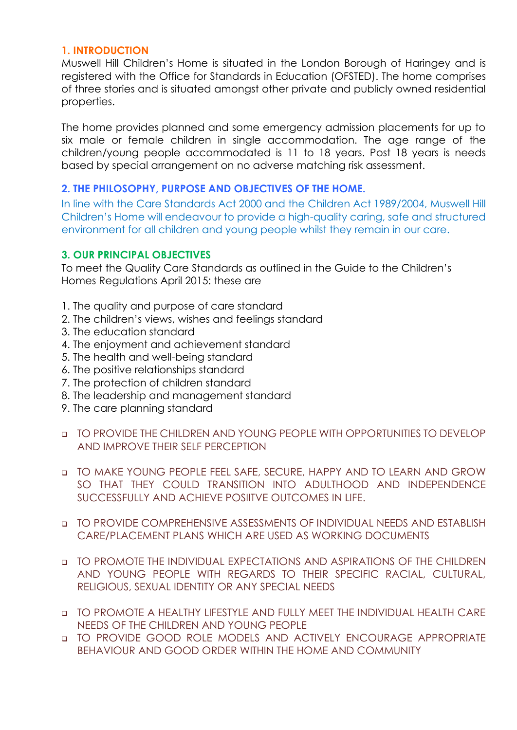#### **1. INTRODUCTION**

Muswell Hill Children's Home is situated in the London Borough of Haringey and is registered with the Office for Standards in Education (OFSTED). The home comprises of three stories and is situated amongst other private and publicly owned residential properties.

The home provides planned and some emergency admission placements for up to six male or female children in single accommodation. The age range of the children/young people accommodated is 11 to 18 years. Post 18 years is needs based by special arrangement on no adverse matching risk assessment.

#### **2. THE PHILOSOPHY, PURPOSE AND OBJECTIVES OF THE HOME.**

In line with the Care Standards Act 2000 and the Children Act 1989/2004, Muswell Hill Children's Home will endeavour to provide a high-quality caring, safe and structured environment for all children and young people whilst they remain in our care.

#### **3. OUR PRINCIPAL OBJECTIVES**

To meet the Quality Care Standards as outlined in the Guide to the Children's Homes Regulations April 2015: these are

- 1. The quality and purpose of care standard
- 2. The children's views, wishes and feelings standard
- 3. The education standard
- 4. The enjoyment and achievement standard
- 5. The health and well-being standard
- 6. The positive relationships standard
- 7. The protection of children standard
- 8. The leadership and management standard
- 9. The care planning standard
- ❑ TO PROVIDE THE CHILDREN AND YOUNG PEOPLE WITH OPPORTUNITIES TO DEVELOP AND IMPROVE THEIR SELF PERCEPTION
- ❑ TO MAKE YOUNG PEOPLE FEEL SAFE, SECURE, HAPPY AND TO LEARN AND GROW SO THAT THEY COULD TRANSITION INTO ADULTHOOD AND INDEPENDENCE SUCCESSFULLY AND ACHIEVE POSIITVE OUTCOMES IN LIFE.
- ❑ TO PROVIDE COMPREHENSIVE ASSESSMENTS OF INDIVIDUAL NEEDS AND ESTABLISH CARE/PLACEMENT PLANS WHICH ARE USED AS WORKING DOCUMENTS
- ❑ TO PROMOTE THE INDIVIDUAL EXPECTATIONS AND ASPIRATIONS OF THE CHILDREN AND YOUNG PEOPLE WITH REGARDS TO THEIR SPECIFIC RACIAL, CULTURAL, RELIGIOUS, SEXUAL IDENTITY OR ANY SPECIAL NEEDS
- ❑ TO PROMOTE A HEALTHY LIFESTYLE AND FULLY MEET THE INDIVIDUAL HEALTH CARE NEEDS OF THE CHILDREN AND YOUNG PEOPLE
- ❑ TO PROVIDE GOOD ROLE MODELS AND ACTIVELY ENCOURAGE APPROPRIATE BEHAVIOUR AND GOOD ORDER WITHIN THE HOME AND COMMUNITY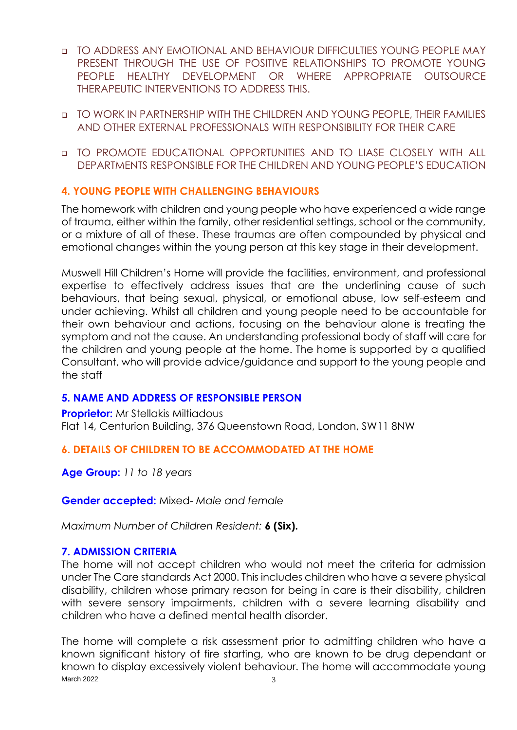- ❑ TO ADDRESS ANY EMOTIONAL AND BEHAVIOUR DIFFICULTIES YOUNG PEOPLE MAY PRESENT THROUGH THE USE OF POSITIVE RELATIONSHIPS TO PROMOTE YOUNG PEOPLE HEALTHY DEVELOPMENT OR WHERE APPROPRIATE OUTSOURCE THERAPEUTIC INTERVENTIONS TO ADDRESS THIS.
- ❑ TO WORK IN PARTNERSHIP WITH THE CHILDREN AND YOUNG PEOPLE, THEIR FAMILIES AND OTHER EXTERNAL PROFESSIONALS WITH RESPONSIBILITY FOR THEIR CARE
- ❑ TO PROMOTE EDUCATIONAL OPPORTUNITIES AND TO LIASE CLOSELY WITH ALL DEPARTMENTS RESPONSIBLE FOR THE CHILDREN AND YOUNG PEOPLE'S EDUCATION

#### **4. YOUNG PEOPLE WITH CHALLENGING BEHAVIOURS**

The homework with children and young people who have experienced a wide range of trauma, either within the family, other residential settings, school or the community, or a mixture of all of these. These traumas are often compounded by physical and emotional changes within the young person at this key stage in their development.

Muswell Hill Children's Home will provide the facilities, environment, and professional expertise to effectively address issues that are the underlining cause of such behaviours, that being sexual, physical, or emotional abuse, low self-esteem and under achieving. Whilst all children and young people need to be accountable for their own behaviour and actions, focusing on the behaviour alone is treating the symptom and not the cause. An understanding professional body of staff will care for the children and young people at the home. The home is supported by a qualified Consultant, who will provide advice/guidance and support to the young people and the staff

#### **5. NAME AND ADDRESS OF RESPONSIBLE PERSON**

**Proprietor:** Mr Stellakis Miltiadous Flat 14, Centurion Building, 376 Queenstown Road, London, SW11 8NW

#### **6. DETAILS OF CHILDREN TO BE ACCOMMODATED AT THE HOME**

**Age Group:** *11 to 18 years*

**Gender accepted:** Mixed- *Male and female*

*Maximum Number of Children Resident:* **6 (Six).**

#### **7. ADMISSION CRITERIA**

The home will not accept children who would not meet the criteria for admission under The Care standards Act 2000. This includes children who have a severe physical disability, children whose primary reason for being in care is their disability, children with severe sensory impairments, children with a severe learning disability and children who have a defined mental health disorder.

March 2022  $\qquad \qquad$  3 The home will complete a risk assessment prior to admitting children who have a known significant history of fire starting, who are known to be drug dependant or known to display excessively violent behaviour. The home will accommodate young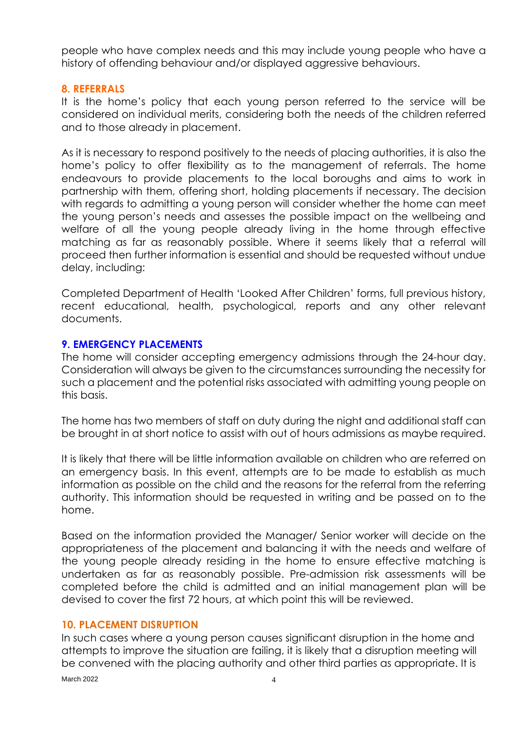people who have complex needs and this may include young people who have a history of offending behaviour and/or displayed aggressive behaviours.

#### **8. REFERRALS**

It is the home's policy that each young person referred to the service will be considered on individual merits, considering both the needs of the children referred and to those already in placement.

As it is necessary to respond positively to the needs of placing authorities, it is also the home's policy to offer flexibility as to the management of referrals. The home endeavours to provide placements to the local boroughs and aims to work in partnership with them, offering short, holding placements if necessary. The decision with regards to admitting a young person will consider whether the home can meet the young person's needs and assesses the possible impact on the wellbeing and welfare of all the young people already living in the home through effective matching as far as reasonably possible. Where it seems likely that a referral will proceed then further information is essential and should be requested without undue delay, including:

Completed Department of Health 'Looked After Children' forms, full previous history, recent educational, health, psychological, reports and any other relevant documents.

#### **9. EMERGENCY PLACEMENTS**

The home will consider accepting emergency admissions through the 24-hour day. Consideration will always be given to the circumstances surrounding the necessity for such a placement and the potential risks associated with admitting young people on this basis.

The home has two members of staff on duty during the night and additional staff can be brought in at short notice to assist with out of hours admissions as maybe required.

It is likely that there will be little information available on children who are referred on an emergency basis. In this event, attempts are to be made to establish as much information as possible on the child and the reasons for the referral from the referring authority. This information should be requested in writing and be passed on to the home.

Based on the information provided the Manager/ Senior worker will decide on the appropriateness of the placement and balancing it with the needs and welfare of the young people already residing in the home to ensure effective matching is undertaken as far as reasonably possible. Pre-admission risk assessments will be completed before the child is admitted and an initial management plan will be devised to cover the first 72 hours, at which point this will be reviewed.

#### **10. PLACEMENT DISRUPTION**

In such cases where a young person causes significant disruption in the home and attempts to improve the situation are failing, it is likely that a disruption meeting will be convened with the placing authority and other third parties as appropriate. It is

March 2022 4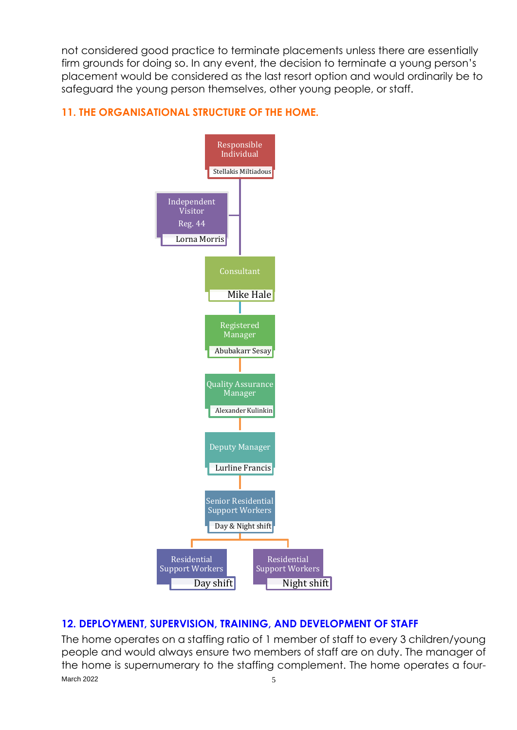not considered good practice to terminate placements unless there are essentially firm grounds for doing so. In any event, the decision to terminate a young person's placement would be considered as the last resort option and would ordinarily be to safeguard the young person themselves, other young people, or staff.

#### **11. THE ORGANISATIONAL STRUCTURE OF THE HOME.**



#### **12. DEPLOYMENT, SUPERVISION, TRAINING, AND DEVELOPMENT OF STAFF**

March 2022  $\qquad \qquad \qquad$  5 The home operates on a staffing ratio of 1 member of staff to every 3 children/young people and would always ensure two members of staff are on duty. The manager of the home is supernumerary to the staffing complement. The home operates a four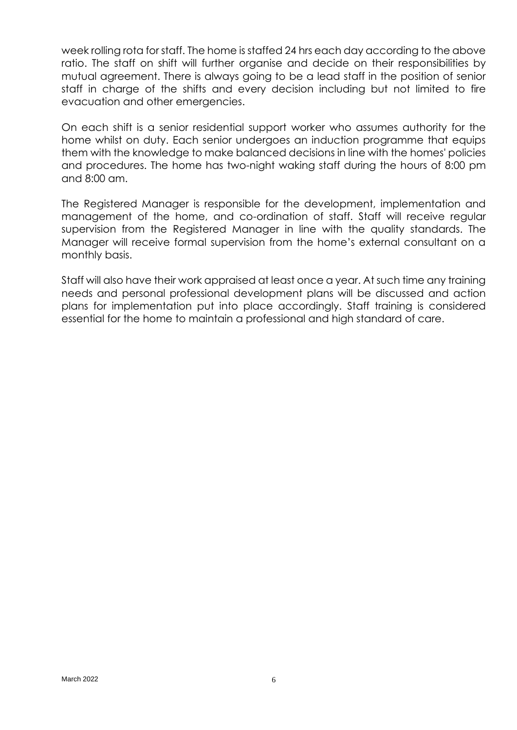week rolling rota for staff. The home is staffed 24 hrs each day according to the above ratio. The staff on shift will further organise and decide on their responsibilities by mutual agreement. There is always going to be a lead staff in the position of senior staff in charge of the shifts and every decision including but not limited to fire evacuation and other emergencies.

On each shift is a senior residential support worker who assumes authority for the home whilst on duty. Each senior undergoes an induction programme that equips them with the knowledge to make balanced decisions in line with the homes' policies and procedures. The home has two-night waking staff during the hours of 8:00 pm and 8:00 am.

The Registered Manager is responsible for the development, implementation and management of the home, and co-ordination of staff. Staff will receive regular supervision from the Registered Manager in line with the quality standards. The Manager will receive formal supervision from the home's external consultant on a monthly basis.

Staff will also have their work appraised at least once a year. At such time any training needs and personal professional development plans will be discussed and action plans for implementation put into place accordingly. Staff training is considered essential for the home to maintain a professional and high standard of care.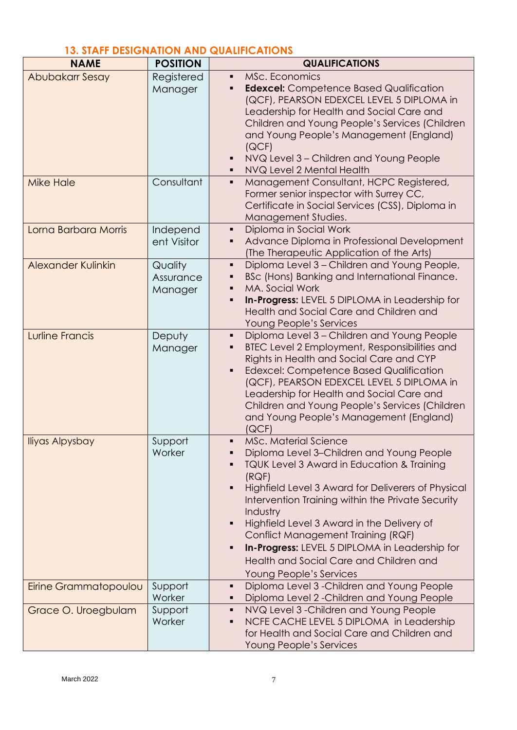## **13. STAFF DESIGNATION AND QUALIFICATIONS**

| <b>NAME</b>            | <b>POSITION</b>                 | <b>QUALIFICATIONS</b>                                                                                                                                                                                                                                                                                                                                                                                                                                                                                               |
|------------------------|---------------------------------|---------------------------------------------------------------------------------------------------------------------------------------------------------------------------------------------------------------------------------------------------------------------------------------------------------------------------------------------------------------------------------------------------------------------------------------------------------------------------------------------------------------------|
| Abubakarr Sesay        | Registered<br>Manager           | MSc. Economics<br>٠<br><b>Edexcel:</b> Competence Based Qualification<br>٠<br>(QCF), PEARSON EDEXCEL LEVEL 5 DIPLOMA in<br>Leadership for Health and Social Care and<br>Children and Young People's Services (Children<br>and Young People's Management (England)<br>(QCF)<br>NVQ Level 3 - Children and Young People<br>٠<br>NVQ Level 2 Mental Health                                                                                                                                                             |
| <b>Mike Hale</b>       | Consultant                      | Management Consultant, HCPC Registered,<br>٠<br>Former senior inspector with Surrey CC,<br>Certificate in Social Services (CSS), Diploma in<br>Management Studies.                                                                                                                                                                                                                                                                                                                                                  |
| Lorna Barbara Morris   | Independ<br>ent Visitor         | Diploma in Social Work<br>٠<br>Advance Diploma in Professional Development<br>(The Therapeutic Application of the Arts)                                                                                                                                                                                                                                                                                                                                                                                             |
| Alexander Kulinkin     | Quality<br>Assurance<br>Manager | Diploma Level 3 - Children and Young People,<br>٠<br>BSc (Hons) Banking and International Finance.<br>٠<br>MA. Social Work<br>٠<br>In-Progress: LEVEL 5 DIPLOMA in Leadership for<br>п<br>Health and Social Care and Children and<br>Young People's Services                                                                                                                                                                                                                                                        |
| <b>Lurline Francis</b> | Deputy<br>Manager               | Diploma Level 3 - Children and Young People<br>٠<br>BTEC Level 2 Employment, Responsibilities and<br>٠<br>Rights in Health and Social Care and CYP<br><b>Edexcel: Competence Based Qualification</b><br>$\blacksquare$<br>(QCF), PEARSON EDEXCEL LEVEL 5 DIPLOMA in<br>Leadership for Health and Social Care and<br>Children and Young People's Services (Children<br>and Young People's Management (England)<br>[QCF]                                                                                              |
| <b>Iliyas Alpysbay</b> | Support<br>Worker               | <b>MSc. Material Science</b><br>Diploma Level 3-Children and Young People<br>TQUK Level 3 Award in Education & Training<br>(RQF)<br>Highfield Level 3 Award for Deliverers of Physical<br>٠<br>Intervention Training within the Private Security<br>Industry<br>Highfield Level 3 Award in the Delivery of<br>$\blacksquare$<br>Conflict Management Training (RQF)<br><b>In-Progress:</b> LEVEL 5 DIPLOMA in Leadership for<br>$\blacksquare$<br>Health and Social Care and Children and<br>Young People's Services |
| Eirine Grammatopoulou  | Support<br>Worker               | Diploma Level 3 - Children and Young People<br>٠<br>Diploma Level 2 - Children and Young People                                                                                                                                                                                                                                                                                                                                                                                                                     |
| Grace O. Uroegbulam    | Support<br>Worker               | NVQ Level 3 - Children and Young People<br>٠<br>NCFE CACHE LEVEL 5 DIPLOMA in Leadership<br>٠<br>for Health and Social Care and Children and<br>Young People's Services                                                                                                                                                                                                                                                                                                                                             |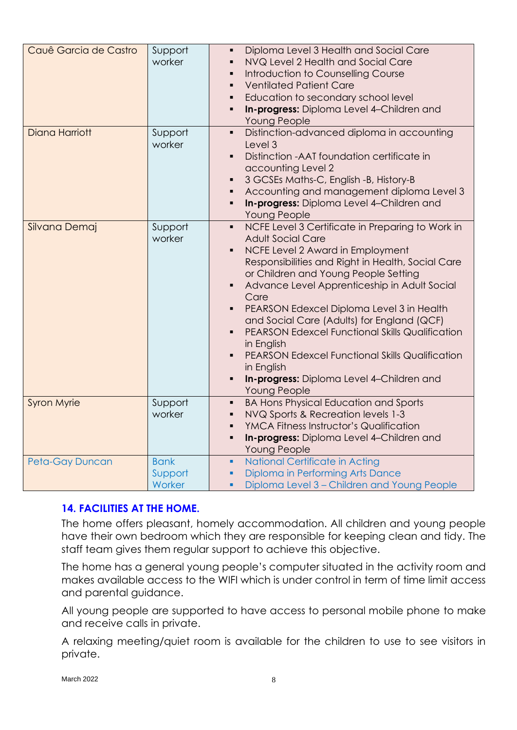| Cauê Garcia de Castro | Support<br>worker                | Diploma Level 3 Health and Social Care<br>$\blacksquare$<br>NVQ Level 2 Health and Social Care<br>$\blacksquare$<br>Introduction to Counselling Course<br>$\blacksquare$<br><b>Ventilated Patient Care</b><br>$\blacksquare$<br>Education to secondary school level<br>$\blacksquare$<br>In-progress: Diploma Level 4-Children and<br>$\blacksquare$<br>Young People                                                                                                                                                                                                                                                                                                         |
|-----------------------|----------------------------------|------------------------------------------------------------------------------------------------------------------------------------------------------------------------------------------------------------------------------------------------------------------------------------------------------------------------------------------------------------------------------------------------------------------------------------------------------------------------------------------------------------------------------------------------------------------------------------------------------------------------------------------------------------------------------|
| <b>Diana Harriott</b> | Support<br>worker                | Distinction-advanced diploma in accounting<br>$\blacksquare$<br>Level 3<br>Distinction - AAT foundation certificate in<br>$\blacksquare$<br>accounting Level 2<br>3 GCSEs Maths-C, English -B, History-B<br>$\blacksquare$<br>Accounting and management diploma Level 3<br>٠<br>In-progress: Diploma Level 4-Children and<br>$\blacksquare$<br>Young People                                                                                                                                                                                                                                                                                                                  |
| Silvana Demaj         | Support<br>worker                | NCFE Level 3 Certificate in Preparing to Work in<br>$\blacksquare$<br><b>Adult Social Care</b><br>NCFE Level 2 Award in Employment<br>$\blacksquare$<br>Responsibilities and Right in Health, Social Care<br>or Children and Young People Setting<br>Advance Level Apprenticeship in Adult Social<br>$\blacksquare$<br>Care<br>PEARSON Edexcel Diploma Level 3 in Health<br>$\blacksquare$<br>and Social Care (Adults) for England (QCF)<br><b>PEARSON Edexcel Functional Skills Qualification</b><br>$\blacksquare$<br>in English<br><b>PEARSON Edexcel Functional Skills Qualification</b><br>in English<br>In-progress: Diploma Level 4-Children and<br>٠<br>Young People |
| <b>Syron Myrie</b>    | Support<br>worker                | <b>BA Hons Physical Education and Sports</b><br>$\blacksquare$<br>NVQ Sports & Recreation levels 1-3<br>٠<br><b>YMCA Fitness Instructor's Qualification</b><br>$\blacksquare$<br>In-progress: Diploma Level 4-Children and<br>$\blacksquare$<br>Young People                                                                                                                                                                                                                                                                                                                                                                                                                 |
| Peta-Gay Duncan       | <b>Bank</b><br>Support<br>Worker | National Certificate in Acting<br>٠<br>Diploma in Performing Arts Dance<br>٠<br>Diploma Level 3 - Children and Young People<br>٠                                                                                                                                                                                                                                                                                                                                                                                                                                                                                                                                             |

#### **14. FACILITIES AT THE HOME.**

The home offers pleasant, homely accommodation. All children and young people have their own bedroom which they are responsible for keeping clean and tidy. The staff team gives them regular support to achieve this objective.

The home has a general young people's computer situated in the activity room and makes available access to the WIFI which is under control in term of time limit access and parental guidance.

All young people are supported to have access to personal mobile phone to make and receive calls in private.

A relaxing meeting/quiet room is available for the children to use to see visitors in private.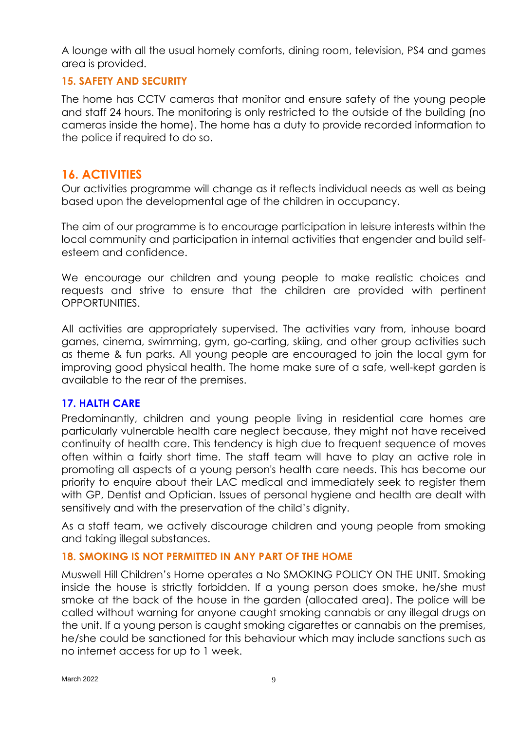A lounge with all the usual homely comforts, dining room, television, PS4 and games area is provided.

#### **15. SAFETY AND SECURITY**

The home has CCTV cameras that monitor and ensure safety of the young people and staff 24 hours. The monitoring is only restricted to the outside of the building (no cameras inside the home). The home has a duty to provide recorded information to the police if required to do so.

#### **16. ACTIVITIES**

Our activities programme will change as it reflects individual needs as well as being based upon the developmental age of the children in occupancy.

The aim of our programme is to encourage participation in leisure interests within the local community and participation in internal activities that engender and build selfesteem and confidence.

We encourage our children and young people to make realistic choices and requests and strive to ensure that the children are provided with pertinent OPPORTUNITIES.

All activities are appropriately supervised. The activities vary from, inhouse board games, cinema, swimming, gym, go-carting, skiing, and other group activities such as theme & fun parks. All young people are encouraged to join the local gym for improving good physical health. The home make sure of a safe, well-kept garden is available to the rear of the premises.

#### **17. HALTH CARE**

Predominantly, children and young people living in residential care homes are particularly vulnerable health care neglect because, they might not have received continuity of health care. This tendency is high due to frequent sequence of moves often within a fairly short time. The staff team will have to play an active role in promoting all aspects of a young person's health care needs. This has become our priority to enquire about their LAC medical and immediately seek to register them with GP, Dentist and Optician. Issues of personal hygiene and health are dealt with sensitively and with the preservation of the child's dignity.

As a staff team, we actively discourage children and young people from smoking and taking illegal substances.

#### **18. SMOKING IS NOT PERMITTED IN ANY PART OF THE HOME**

Muswell Hill Children's Home operates a No SMOKING POLICY ON THE UNIT. Smoking inside the house is strictly forbidden. If a young person does smoke, he/she must smoke at the back of the house in the garden (allocated area). The police will be called without warning for anyone caught smoking cannabis or any illegal drugs on the unit. If a young person is caught smoking cigarettes or cannabis on the premises, he/she could be sanctioned for this behaviour which may include sanctions such as no internet access for up to 1 week.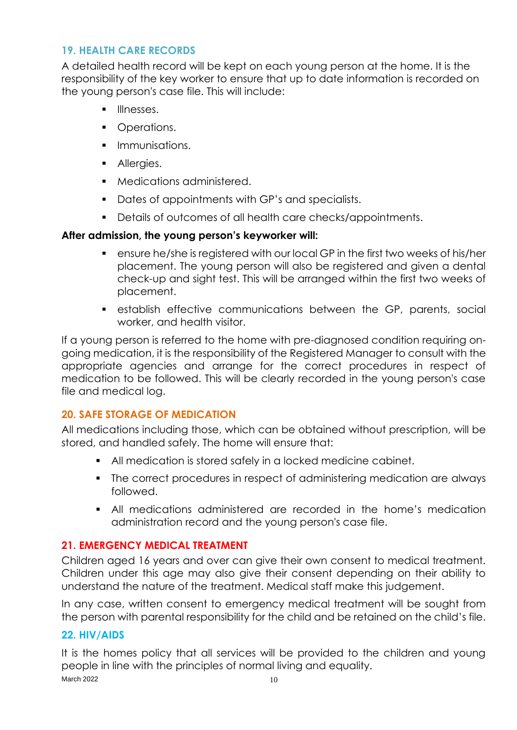#### **19. HEALTH CARE RECORDS**

A detailed health record will be kept on each young person at the home. It is the responsibility of the key worker to ensure that up to date information is recorded on the young person's case file. This will include:

- **■** Illnesses.
- Operations.
- **•** Immunisations.
- **•** Allergies.
- Medications administered.
- Dates of appointments with GP's and specialists.
- Details of outcomes of all health care checks/appointments.

#### **After admission, the young person's keyworker will:**

- ensure he/she is registered with our local GP in the first two weeks of his/her placement. The young person will also be registered and given a dental check-up and sight test. This will be arranged within the first two weeks of placement.
- establish effective communications between the GP, parents, social worker, and health visitor.

If a young person is referred to the home with pre-diagnosed condition requiring ongoing medication, it is the responsibility of the Registered Manager to consult with the appropriate agencies and arrange for the correct procedures in respect of medication to be followed. This will be clearly recorded in the young person's case file and medical log.

#### **20. SAFE STORAGE OF MEDICATION**

All medications including those, which can be obtained without prescription, will be stored, and handled safely. The home will ensure that:

- All medication is stored safely in a locked medicine cabinet.
- The correct procedures in respect of administering medication are always followed.
- All medications administered are recorded in the home's medication administration record and the young person's case file.

#### **21. EMERGENCY MEDICAL TREATMENT**

Children aged 16 years and over can give their own consent to medical treatment. Children under this age may also give their consent depending on their ability to understand the nature of the treatment. Medical staff make this judgement.

In any case, written consent to emergency medical treatment will be sought from the person with parental responsibility for the child and be retained on the child's file.

#### **22. HIV/AIDS**

March 2022  $10$ It is the homes policy that all services will be provided to the children and young people in line with the principles of normal living and equality.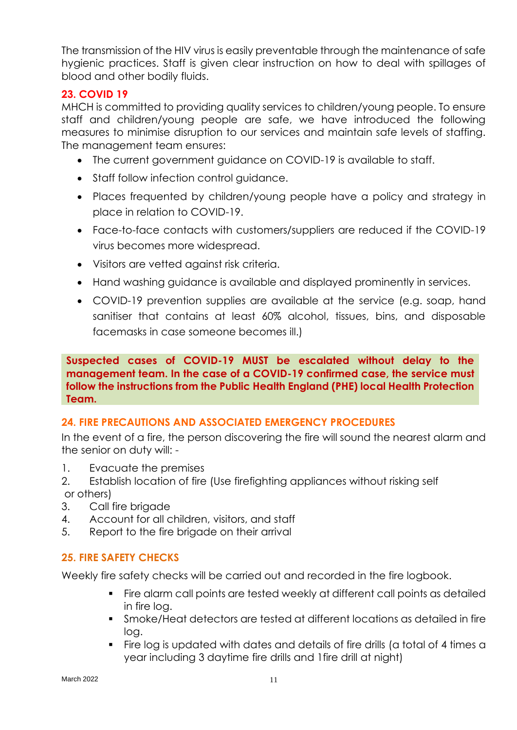The transmission of the HIV virus is easily preventable through the maintenance of safe hygienic practices. Staff is given clear instruction on how to deal with spillages of blood and other bodily fluids.

#### **23. COVID 19**

MHCH is committed to providing quality services to children/young people. To ensure staff and children/young people are safe, we have introduced the following measures to minimise disruption to our services and maintain safe levels of staffing. The management team ensures:

- The current government guidance on COVID-19 is available to staff.
- Staff follow infection control quidance.
- Places frequented by children/young people have a policy and strategy in place in relation to COVID-19.
- Face-to-face contacts with customers/suppliers are reduced if the COVID-19 virus becomes more widespread.
- Visitors are vetted against risk criteria.
- Hand washing guidance is available and displayed prominently in services.
- COVID-19 prevention supplies are available at the service (e.g. soap, hand sanitiser that contains at least 60% alcohol, tissues, bins, and disposable facemasks in case someone becomes ill.)

#### **Suspected cases of COVID-19 MUST be escalated without delay to the management team. In the case of a COVID-19 confirmed case, the service must follow the instructions from the Public Health England (PHE) local Health Protection Team.**

#### **24. FIRE PRECAUTIONS AND ASSOCIATED EMERGENCY PROCEDURES**

In the event of a fire, the person discovering the fire will sound the nearest alarm and the senior on duty will: -

- 1. Evacuate the premises
- 2. Establish location of fire (Use firefighting appliances without risking self or others)
- 3. Call fire brigade
- 4. Account for all children, visitors, and staff
- 5. Report to the fire brigade on their arrival

#### **25. FIRE SAFETY CHECKS**

Weekly fire safety checks will be carried out and recorded in the fire logbook.

- Fire alarm call points are tested weekly at different call points as detailed in fire log.
- Smoke/Heat detectors are tested at different locations as detailed in fire log.
- Fire log is updated with dates and details of fire drills (a total of 4 times a year including 3 daytime fire drills and 1fire drill at night)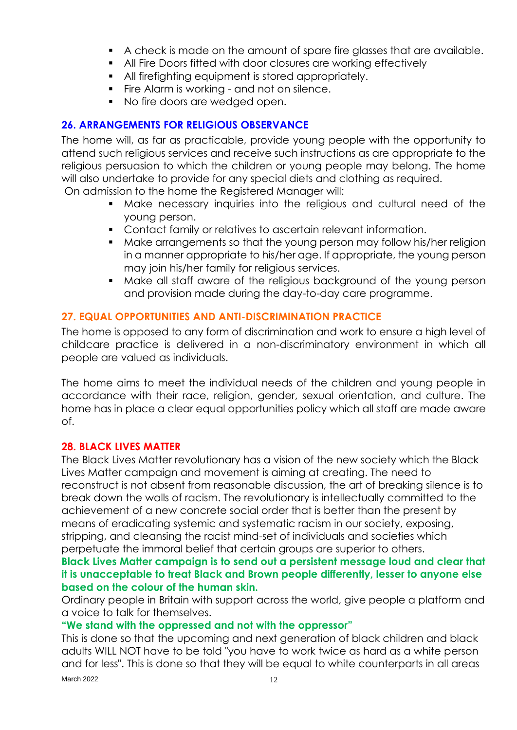- A check is made on the amount of spare fire glasses that are available.
- All Fire Doors fitted with door closures are working effectively
- All firefighting equipment is stored appropriately.
- Fire Alarm is working and not on silence.
- No fire doors are wedged open.

#### **26. ARRANGEMENTS FOR RELIGIOUS OBSERVANCE**

The home will, as far as practicable, provide young people with the opportunity to attend such religious services and receive such instructions as are appropriate to the religious persuasion to which the children or young people may belong. The home will also undertake to provide for any special diets and clothing as required.

On admission to the home the Registered Manager will:

- Make necessary inquiries into the religious and cultural need of the young person.
- Contact family or relatives to ascertain relevant information.
- Make arrangements so that the young person may follow his/her religion in a manner appropriate to his/her age. If appropriate, the young person may join his/her family for religious services.
- Make all staff aware of the religious backaround of the young person and provision made during the day-to-day care programme.

#### **27. EQUAL OPPORTUNITIES AND ANTI-DISCRIMINATION PRACTICE**

The home is opposed to any form of discrimination and work to ensure a high level of childcare practice is delivered in a non-discriminatory environment in which all people are valued as individuals.

The home aims to meet the individual needs of the children and young people in accordance with their race, religion, gender, sexual orientation, and culture. The home has in place a clear equal opportunities policy which all staff are made aware of.

#### **28. BLACK LIVES MATTER**

The Black Lives Matter revolutionary has a vision of the new society which the Black Lives Matter campaign and movement is aiming at creating. The need to reconstruct is not absent from reasonable discussion, the art of breaking silence is to break down the walls of racism. The revolutionary is intellectually committed to the achievement of a new concrete social order that is better than the present by means of eradicating systemic and systematic racism in our society, exposing, stripping, and cleansing the racist mind-set of individuals and societies which perpetuate the immoral belief that certain groups are superior to others.

#### **Black Lives Matter campaign is to send out a persistent message loud and clear that it is unacceptable to treat Black and Brown people differently, lesser to anyone else based on the colour of the human skin.**

Ordinary people in Britain with support across the world, give people a platform and a voice to talk for themselves.

#### **"We stand with the oppressed and not with the oppressor"**

This is done so that the upcoming and next generation of black children and black adults WILL NOT have to be told "you have to work twice as hard as a white person and for less". This is done so that they will be equal to white counterparts in all areas

March 2022 12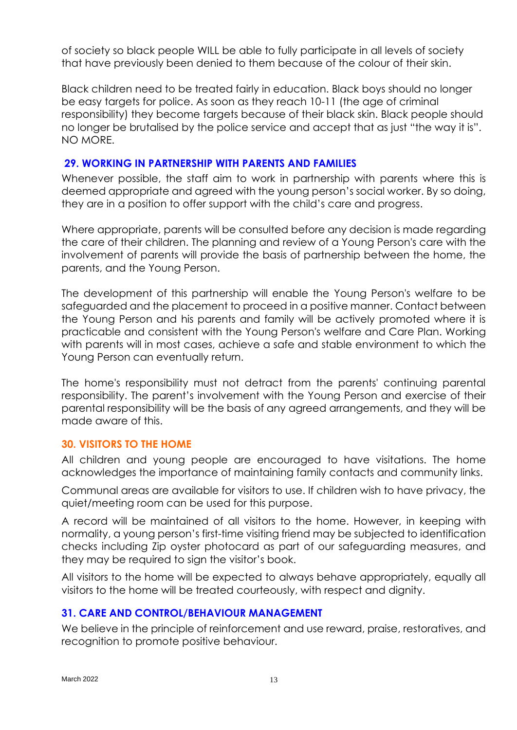of society so black people WILL be able to fully participate in all levels of society that have previously been denied to them because of the colour of their skin.

Black children need to be treated fairly in education. Black boys should no longer be easy targets for police. As soon as they reach 10-11 (the age of criminal responsibility) they become targets because of their black skin. Black people should no longer be brutalised by the police service and accept that as just "the way it is". NO MORE.

#### **29. WORKING IN PARTNERSHIP WITH PARENTS AND FAMILIES**

Whenever possible, the staff aim to work in partnership with parents where this is deemed appropriate and agreed with the young person's social worker. By so doing, they are in a position to offer support with the child's care and progress.

Where appropriate, parents will be consulted before any decision is made regarding the care of their children. The planning and review of a Young Person's care with the involvement of parents will provide the basis of partnership between the home, the parents, and the Young Person.

The development of this partnership will enable the Young Person's welfare to be safeguarded and the placement to proceed in a positive manner. Contact between the Young Person and his parents and family will be actively promoted where it is practicable and consistent with the Young Person's welfare and Care Plan. Working with parents will in most cases, achieve a safe and stable environment to which the Young Person can eventually return.

The home's responsibility must not detract from the parents' continuing parental responsibility. The parent's involvement with the Young Person and exercise of their parental responsibility will be the basis of any agreed arrangements, and they will be made aware of this.

#### **30. VISITORS TO THE HOME**

All children and young people are encouraged to have visitations. The home acknowledges the importance of maintaining family contacts and community links.

Communal areas are available for visitors to use. If children wish to have privacy, the quiet/meeting room can be used for this purpose.

A record will be maintained of all visitors to the home. However, in keeping with normality, a young person's first-time visiting friend may be subjected to identification checks including Zip oyster photocard as part of our safeguarding measures, and they may be required to sign the visitor's book.

All visitors to the home will be expected to always behave appropriately, equally all visitors to the home will be treated courteously, with respect and dignity.

#### **31. CARE AND CONTROL/BEHAVIOUR MANAGEMENT**

We believe in the principle of reinforcement and use reward, praise, restoratives, and recognition to promote positive behaviour.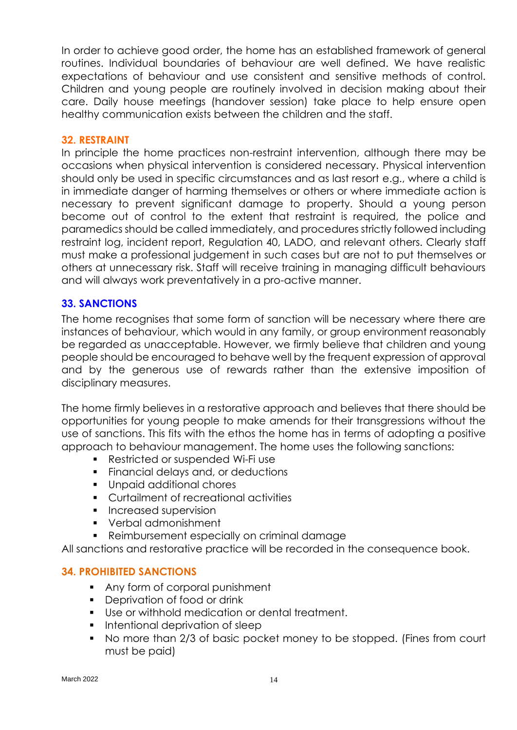In order to achieve good order, the home has an established framework of general routines. Individual boundaries of behaviour are well defined. We have realistic expectations of behaviour and use consistent and sensitive methods of control. Children and young people are routinely involved in decision making about their care. Daily house meetings (handover session) take place to help ensure open healthy communication exists between the children and the staff.

#### **32. RESTRAINT**

In principle the home practices non-restraint intervention, although there may be occasions when physical intervention is considered necessary. Physical intervention should only be used in specific circumstances and as last resort e.g., where a child is in immediate danger of harming themselves or others or where immediate action is necessary to prevent significant damage to property. Should a young person become out of control to the extent that restraint is required, the police and paramedics should be called immediately, and procedures strictly followed including restraint log, incident report, Regulation 40, LADO, and relevant others. Clearly staff must make a professional judgement in such cases but are not to put themselves or others at unnecessary risk. Staff will receive training in managing difficult behaviours and will always work preventatively in a pro-active manner.

#### **33. SANCTIONS**

The home recognises that some form of sanction will be necessary where there are instances of behaviour, which would in any family, or group environment reasonably be regarded as unacceptable. However, we firmly believe that children and young people should be encouraged to behave well by the frequent expression of approval and by the generous use of rewards rather than the extensive imposition of disciplinary measures.

The home firmly believes in a restorative approach and believes that there should be opportunities for young people to make amends for their transgressions without the use of sanctions. This fits with the ethos the home has in terms of adopting a positive approach to behaviour management. The home uses the following sanctions:

- Restricted or suspended Wi-Fi use
- Financial delays and, or deductions
- Unpaid additional chores
- Curtailment of recreational activities
- **•** Increased supervision
- Verbal admonishment
- Reimbursement especially on criminal damage

All sanctions and restorative practice will be recorded in the consequence book.

#### **34. PROHIBITED SANCTIONS**

- Any form of corporal punishment
- Deprivation of food or drink
- Use or withhold medication or dental treatment.
- Intentional deprivation of sleep
- No more than 2/3 of basic pocket money to be stopped. (Fines from court must be paid)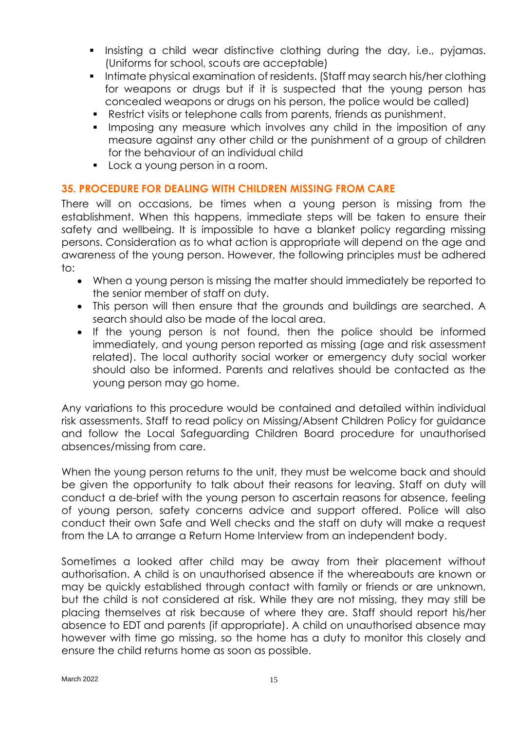- **.** Insisting a child wear distinctive clothing during the day, i.e., pyjamas. (Uniforms for school, scouts are acceptable)
- Intimate physical examination of residents. (Staff may search his/her clothing for weapons or drugs but if it is suspected that the young person has concealed weapons or drugs on his person, the police would be called)
- Restrict visits or telephone calls from parents, friends as punishment.
- **•** Imposing any measure which involves any child in the imposition of any measure against any other child or the punishment of a group of children for the behaviour of an individual child
- Lock a young person in a room.

#### **35. PROCEDURE FOR DEALING WITH CHILDREN MISSING FROM CARE**

There will on occasions, be times when a young person is missing from the establishment. When this happens, immediate steps will be taken to ensure their safety and wellbeing. It is impossible to have a blanket policy regarding missing persons. Consideration as to what action is appropriate will depend on the age and awareness of the young person. However, the following principles must be adhered to:

- When a young person is missing the matter should immediately be reported to the senior member of staff on duty.
- This person will then ensure that the grounds and buildings are searched. A search should also be made of the local area.
- If the young person is not found, then the police should be informed immediately, and young person reported as missing (age and risk assessment related). The local authority social worker or emergency duty social worker should also be informed. Parents and relatives should be contacted as the young person may go home.

Any variations to this procedure would be contained and detailed within individual risk assessments. Staff to read policy on Missing/Absent Children Policy for guidance and follow the Local Safeguarding Children Board procedure for unauthorised absences/missing from care.

When the young person returns to the unit, they must be welcome back and should be given the opportunity to talk about their reasons for leaving. Staff on duty will conduct a de-brief with the young person to ascertain reasons for absence, feeling of young person, safety concerns advice and support offered. Police will also conduct their own Safe and Well checks and the staff on duty will make a request from the LA to arrange a Return Home Interview from an independent body.

Sometimes a looked after child may be away from their placement without authorisation. A child is on unauthorised absence if the whereabouts are known or may be quickly established through contact with family or friends or are unknown, but the child is not considered at risk. While they are not missing, they may still be placing themselves at risk because of where they are. Staff should report his/her absence to EDT and parents (if appropriate). A child on unauthorised absence may however with time go missing, so the home has a duty to monitor this closely and ensure the child returns home as soon as possible.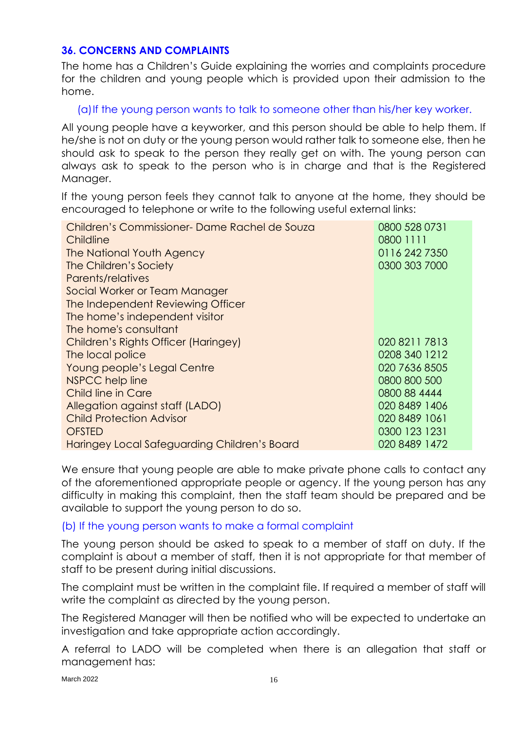#### **36. CONCERNS AND COMPLAINTS**

The home has a Children's Guide explaining the worries and complaints procedure for the children and young people which is provided upon their admission to the home.

(a)If the young person wants to talk to someone other than his/her key worker.

All young people have a keyworker, and this person should be able to help them. If he/she is not on duty or the young person would rather talk to someone else, then he should ask to speak to the person they really get on with. The young person can always ask to speak to the person who is in charge and that is the Registered Manager.

If the young person feels they cannot talk to anyone at the home, they should be encouraged to telephone or write to the following useful external links:

| Children's Commissioner-Dame Rachel de Souza | 0800 528 0731 |
|----------------------------------------------|---------------|
| Childline                                    | 0800 1111     |
| The National Youth Agency                    | 0116 242 7350 |
| The Children's Society                       | 0300 303 7000 |
| Parents/relatives                            |               |
| Social Worker or Team Manager                |               |
| The Independent Reviewing Officer            |               |
| The home's independent visitor               |               |
| The home's consultant                        |               |
| Children's Rights Officer (Haringey)         | 020 8211 7813 |
| The local police                             | 0208 340 1212 |
| Young people's Legal Centre                  | 020 7636 8505 |
| NSPCC help line                              | 0800 800 500  |
| Child line in Care                           | 0800 88 4444  |
| Allegation against staff (LADO)              | 020 8489 1406 |
| <b>Child Protection Advisor</b>              | 020 8489 1061 |
| <b>OFSTED</b>                                | 0300 123 1231 |
| Haringey Local Safeguarding Children's Board | 020 8489 1472 |

We ensure that young people are able to make private phone calls to contact any of the aforementioned appropriate people or agency. If the young person has any difficulty in making this complaint, then the staff team should be prepared and be available to support the young person to do so.

#### (b) If the young person wants to make a formal complaint

The young person should be asked to speak to a member of staff on duty. If the complaint is about a member of staff, then it is not appropriate for that member of staff to be present during initial discussions.

The complaint must be written in the complaint file. If required a member of staff will write the complaint as directed by the young person.

The Registered Manager will then be notified who will be expected to undertake an investigation and take appropriate action accordingly.

A referral to LADO will be completed when there is an allegation that staff or management has:

March 2022 16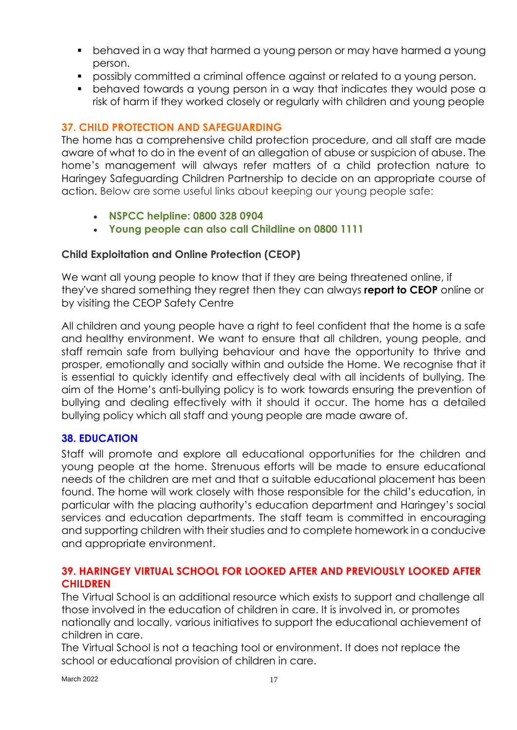- behaved in a way that harmed a young person or may have harmed a young person.
- possibly committed a criminal offence against or related to a young person.
- behaved towards a young person in a way that indicates they would pose a risk of harm if they worked closely or regularly with children and young people

#### **37. CHILD PROTECTION AND SAFEGUARDING**

The home has a comprehensive child protection procedure, and all staff are made aware of what to do in the event of an allegation of abuse or suspicion of abuse. The home's management will always refer matters of a child protection nature to Haringey Safeguarding Children Partnership to decide on an appropriate course of action. Below are some useful links about keeping our young people safe:

- **[NSPCC helpline: 0800 328 0904](http://www.nspcc.org.uk/)**
- **[Young people can also call Childline on 0800 1111](http://www.childline.org.uk/pages/home.aspx)**

#### **Child Exploitation and Online Protection (CEOP)**

We want all young people to know that if they are being threatened online, if they've shared something they regret then they can always **report to CEOP** online or by visiting the [CEOP Safety Centre](http://www.ceop.police.uk/safety-centre/)

All children and young people have a right to feel confident that the home is a safe and healthy environment. We want to ensure that all children, young people, and staff remain safe from bullying behaviour and have the opportunity to thrive and prosper, emotionally and socially within and outside the Home. We recognise that it is essential to quickly identify and effectively deal with all incidents of bullying. The aim of the Home's anti-bullying policy is to work towards ensuring the prevention of bullying and dealing effectively with it should it occur. The home has a detailed bullying policy which all staff and young people are made aware of.

#### **38. EDUCATION**

Staff will promote and explore all educational opportunities for the children and young people at the home. Strenuous efforts will be made to ensure educational needs of the children are met and that a suitable educational placement has been found. The home will work closely with those responsible for the child's education, in particular with the placing authority's education department and Haringey's social services and education departments. The staff team is committed in encouraging and supporting children with their studies and to complete homework in a conducive and appropriate environment.

#### **39. HARINGEY VIRTUAL SCHOOL FOR LOOKED AFTER AND PREVIOUSLY LOOKED AFTER CHILDREN**

The Virtual School is an additional resource which exists to support and challenge all those involved in the education of children in care. It is involved in, or promotes nationally and locally, various initiatives to support the educational achievement of children in care.

The Virtual School is not a teaching tool or environment. It does not replace the school or educational provision of children in care.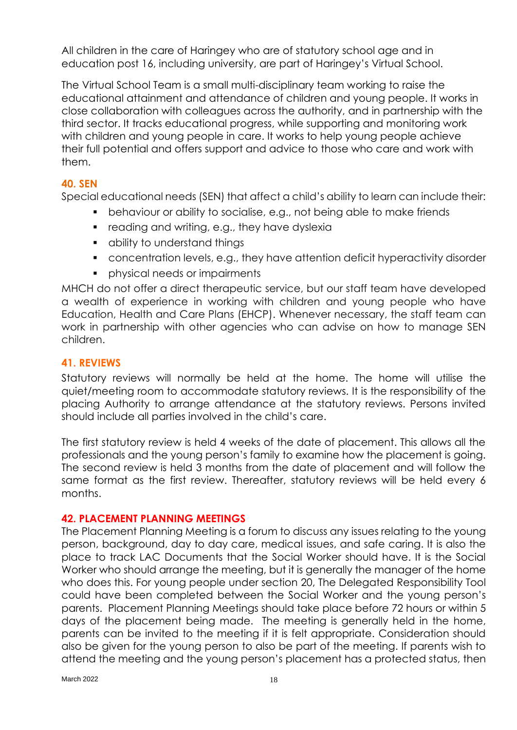All children in the care of Haringey who are of statutory school age and in education post 16, including university, are part of Haringey's Virtual School.

The Virtual School Team is a small multi-disciplinary team working to raise the educational attainment and attendance of children and young people. It works in close collaboration with colleagues across the authority, and in partnership with the third sector. It tracks educational progress, while supporting and monitoring work with children and young people in care. It works to help young people achieve their full potential and offers support and advice to those who care and work with them.

#### **40. SEN**

Special educational needs (SEN) that affect a child's ability to learn can include their:

- behaviour or ability to socialise, e.g., not being able to make friends
- reading and writing, e.g., they have dyslexia
- ability to understand things
- concentration levels, e.g., they have attention deficit hyperactivity disorder
- **•** physical needs or impairments

MHCH do not offer a direct therapeutic service, but our staff team have developed a wealth of experience in working with children and young people who have Education, Health and Care Plans (EHCP). Whenever necessary, the staff team can work in partnership with other agencies who can advise on how to manage SEN children.

#### **41. REVIEWS**

Statutory reviews will normally be held at the home. The home will utilise the quiet/meeting room to accommodate statutory reviews. It is the responsibility of the placing Authority to arrange attendance at the statutory reviews. Persons invited should include all parties involved in the child's care.

The first statutory review is held 4 weeks of the date of placement. This allows all the professionals and the young person's family to examine how the placement is going. The second review is held 3 months from the date of placement and will follow the same format as the first review. Thereafter, statutory reviews will be held every 6 months.

#### **42. PLACEMENT PLANNING MEETINGS**

The Placement Planning Meeting is a forum to discuss any issues relating to the young person, background, day to day care, medical issues, and safe caring. It is also the place to track LAC Documents that the Social Worker should have. It is the Social Worker who should arrange the meeting, but it is generally the manager of the home who does this. For young people under section 20, The Delegated Responsibility Tool could have been completed between the Social Worker and the young person's parents. Placement Planning Meetings should take place before 72 hours or within 5 days of the placement being made. The meeting is generally held in the home, parents can be invited to the meeting if it is felt appropriate. Consideration should also be given for the young person to also be part of the meeting. If parents wish to attend the meeting and the young person's placement has a protected status, then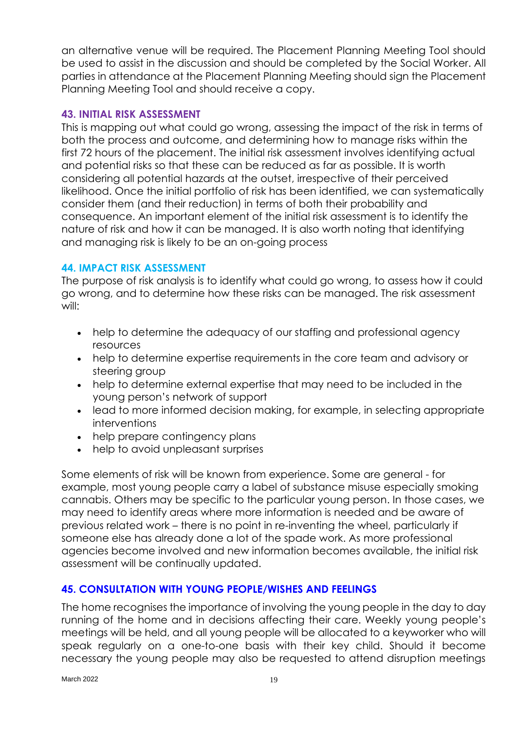an alternative venue will be required. The Placement Planning Meeting Tool should be used to assist in the discussion and should be completed by the Social Worker. All parties in attendance at the Placement Planning Meeting should sign the Placement Planning Meeting Tool and should receive a copy.

#### **43. INITIAL RISK ASSESSMENT**

This is mapping out what could go wrong, assessing the impact of the risk in terms of both the process and outcome, and determining how to manage risks within the first 72 hours of the placement. The initial risk assessment involves identifying actual and potential risks so that these can be reduced as far as possible. It is worth considering all potential hazards at the outset, irrespective of their perceived likelihood. Once the initial portfolio of risk has been identified, we can systematically consider them (and their reduction) in terms of both their probability and consequence. An important element of the initial risk assessment is to identify the nature of risk and how it can be managed. It is also worth noting that identifying and managing risk is likely to be an on-going process

#### **44. IMPACT RISK ASSESSMENT**

The purpose of risk analysis is to identify what could go wrong, to assess how it could go wrong, and to determine how these risks can be managed. The risk assessment will:

- help to determine the adequacy of our staffing and professional agency resources
- help to determine expertise requirements in the core team and advisory or steering group
- help to determine external expertise that may need to be included in the young person's network of support
- lead to more informed decision making, for example, in selecting appropriate interventions
- help prepare contingency plans
- help to avoid unpleasant surprises

Some elements of risk will be known from experience. Some are general - for example, most young people carry a label of substance misuse especially smoking cannabis. Others may be specific to the particular young person. In those cases, we may need to identify areas where more information is needed and be aware of previous related work – there is no point in re-inventing the wheel, particularly if someone else has already done a lot of the spade work. As more professional agencies become involved and new information becomes available, the initial risk assessment will be continually updated.

#### **45. CONSULTATION WITH YOUNG PEOPLE/WISHES AND FEELINGS**

The home recognises the importance of involving the young people in the day to day running of the home and in decisions affecting their care. Weekly young people's meetings will be held, and all young people will be allocated to a keyworker who will speak regularly on a one-to-one basis with their key child. Should it become necessary the young people may also be requested to attend disruption meetings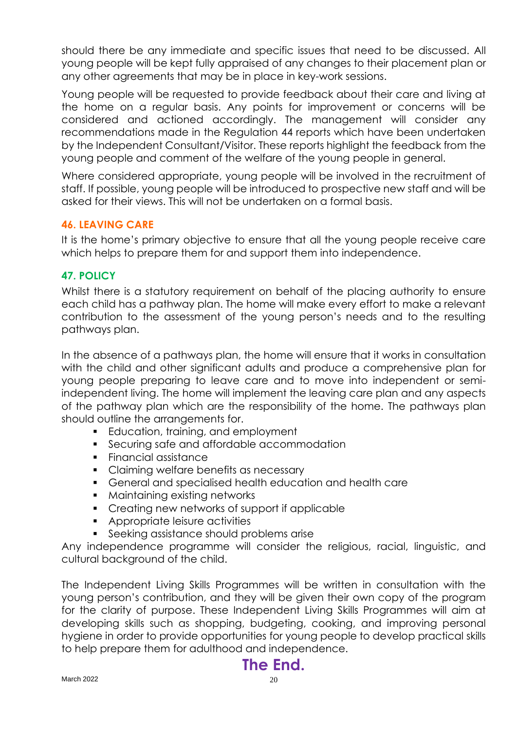should there be any immediate and specific issues that need to be discussed. All young people will be kept fully appraised of any changes to their placement plan or any other agreements that may be in place in key-work sessions.

Young people will be requested to provide feedback about their care and living at the home on a regular basis. Any points for improvement or concerns will be considered and actioned accordingly. The management will consider any recommendations made in the Regulation 44 reports which have been undertaken by the Independent Consultant/Visitor. These reports highlight the feedback from the young people and comment of the welfare of the young people in general.

Where considered appropriate, young people will be involved in the recruitment of staff. If possible, young people will be introduced to prospective new staff and will be asked for their views. This will not be undertaken on a formal basis.

#### **46. LEAVING CARE**

It is the home's primary objective to ensure that all the young people receive care which helps to prepare them for and support them into independence.

#### **47. POLICY**

Whilst there is a statutory requirement on behalf of the placing authority to ensure each child has a pathway plan. The home will make every effort to make a relevant contribution to the assessment of the young person's needs and to the resulting pathways plan.

In the absence of a pathways plan, the home will ensure that it works in consultation with the child and other significant adults and produce a comprehensive plan for young people preparing to leave care and to move into independent or semiindependent living. The home will implement the leaving care plan and any aspects of the pathway plan which are the responsibility of the home. The pathways plan should outline the arrangements for.

- Education, training, and employment
- **•** Securing safe and affordable accommodation
- Financial assistance
- **Claiming welfare benefits as necessary**
- General and specialised health education and health care
- Maintaining existing networks
- Creating new networks of support if applicable
- Appropriate leisure activities
- **•** Seeking assistance should problems arise

Any independence programme will consider the religious, racial, linguistic, and cultural background of the child.

The Independent Living Skills Programmes will be written in consultation with the young person's contribution, and they will be given their own copy of the program for the clarity of purpose. These Independent Living Skills Programmes will aim at developing skills such as shopping, budgeting, cooking, and improving personal hygiene in order to provide opportunities for young people to develop practical skills to help prepare them for adulthood and independence.

# **The End.**